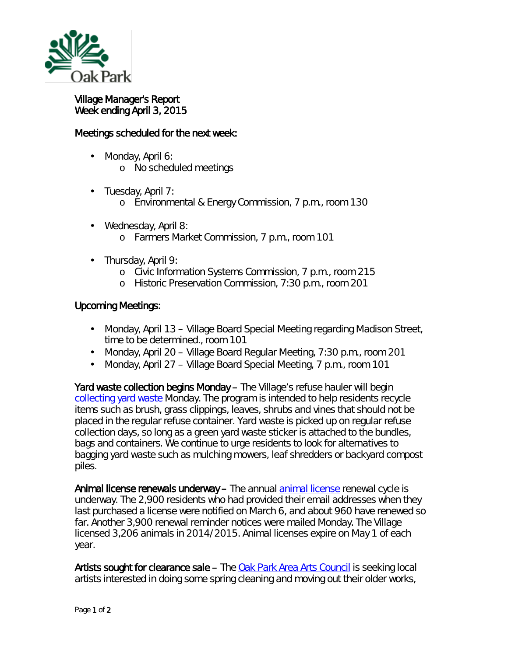

## Village Manager's Report Week ending April 3, 2015

## Meetings scheduled for the next week:

- Monday, April 6: o No scheduled meetings
- Tuesday, April 7:
	- o Environmental & Energy Commission, 7 p.m., room 130
- $\mathbf{r}$ Wednesday, April 8:
	- o Farmers Market Commission, 7 p.m., room 101
- . Thursday, April 9:
	- o Civic Information Systems Commission, 7 p.m., room 215
	- o Historic Preservation Commission, 7:30 p.m., room 201

## Upcoming Meetings:

- Monday, April 13 Village Board Special Meeting regarding Madison Street,  $\mathbf{r}$  . time to be determined., room 101
- Monday, April 20 Village Board Regular Meeting, 7:30 p.m., room 201
- Monday, April 27 Village Board Special Meeting, 7 p.m., room 101  $\mathbf{r}$

Yard waste collection begins Monday – The Village's refuse hauler will begin [collecting yard waste](http://www.oak-park.us/newsletters/marchapril-2015/yard-waste-collection-begins) Monday. The program is intended to help residents recycle items such as brush, grass clippings, leaves, shrubs and vines that should not be placed in the regular refuse container. Yard waste is picked up on regular refuse collection days, so long as a green yard waste sticker is attached to the bundles, bags and containers. We continue to urge residents to look for alternatives to bagging yard waste such as mulching mowers, leaf shredders or backyard compost piles.

Animal license renewals underway – The annual [animal license](http://www.oak-park.us/village-services/health-department/animal-control) renewal cycle is underway. The 2,900 residents who had provided their email addresses when they last purchased a license were notified on March 6, and about 960 have renewed so far. Another 3,900 renewal reminder notices were mailed Monday. The Village licensed 3,206 animals in 2014/2015. Animal licenses expire on May 1 of each year.

Artists sought for clearance sale – The [Oak Park Area Arts Council](http://r20.rs6.net/tn.jsp?f=001YrUyFcHm1QfS9sG7RGZYZCQG9z8iWiDk80PxdAs7XxVFtZ0xec1lWwva3veCu5gWHU1a4n21mPzuBmAXEdTlXqLrmwvdc9C6mI97wuDbf7JNSwTqPDd6uRBrUT29B2ppWo6lS63hKtkZUPv3FaGfxTzxb193BeDAW8xZOs3cCSY9BeqSfmv3MfMWZvDMeTwJWsphnJyj504i7wcSoKvADWPMtQN2Ir7ux7Y-hqf8G2AJF3RYI3oJ4J8j46kRA3279Aj9J9SJFREKTmKNilcV0X5SUnaYw01HId63XdzipBo=&c=gGFiznY4Vw5wMvZDBhVzQ3TLE-2zQSjkl4qo_0ybSi5R5nEnvVpaxQ==&ch=yHQU3WOZjcwp7z7ycjjmq7VRXWSPdizaUAiFz5kM_7uulLYp6-Qg-A==) is seeking local artists interested in doing some spring cleaning and moving out their older works,